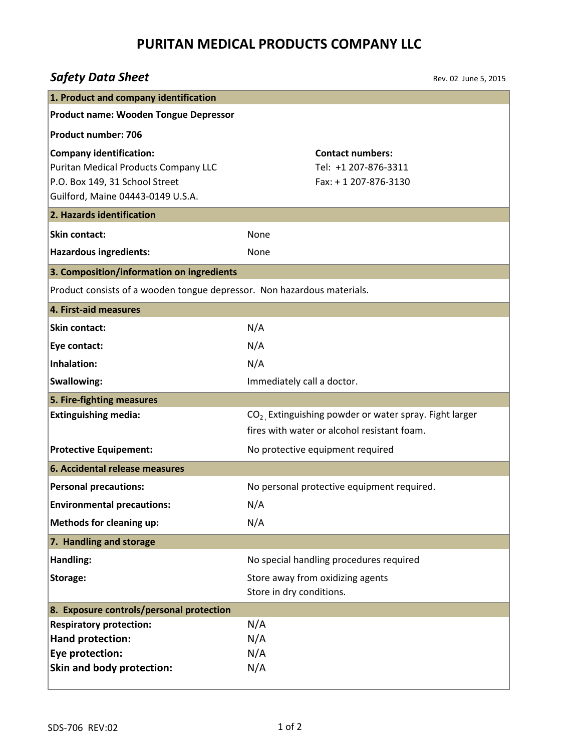## **PURITAN MEDICAL PRODUCTS COMPANY LLC**

# *Safety Data Sheet*

Rev. 02 June 5, 2015

| 1. Product and company identification                                                                                                         |                                                                                                          |  |
|-----------------------------------------------------------------------------------------------------------------------------------------------|----------------------------------------------------------------------------------------------------------|--|
| <b>Product name: Wooden Tongue Depressor</b>                                                                                                  |                                                                                                          |  |
| <b>Product number: 706</b>                                                                                                                    |                                                                                                          |  |
| <b>Company identification:</b><br>Puritan Medical Products Company LLC<br>P.O. Box 149, 31 School Street<br>Guilford, Maine 04443-0149 U.S.A. | <b>Contact numbers:</b><br>Tel: +1 207-876-3311<br>Fax: +1 207-876-3130                                  |  |
| 2. Hazards identification                                                                                                                     |                                                                                                          |  |
| <b>Skin contact:</b>                                                                                                                          | None                                                                                                     |  |
| <b>Hazardous ingredients:</b>                                                                                                                 | None                                                                                                     |  |
| 3. Composition/information on ingredients                                                                                                     |                                                                                                          |  |
| Product consists of a wooden tongue depressor. Non hazardous materials.                                                                       |                                                                                                          |  |
| 4. First-aid measures                                                                                                                         |                                                                                                          |  |
| Skin contact:                                                                                                                                 | N/A                                                                                                      |  |
| Eye contact:                                                                                                                                  | N/A                                                                                                      |  |
| Inhalation:                                                                                                                                   | N/A                                                                                                      |  |
| <b>Swallowing:</b>                                                                                                                            | Immediately call a doctor.                                                                               |  |
| 5. Fire-fighting measures                                                                                                                     |                                                                                                          |  |
| <b>Extinguishing media:</b>                                                                                                                   | $CO2$ , Extinguishing powder or water spray. Fight larger<br>fires with water or alcohol resistant foam. |  |
| <b>Protective Equipement:</b>                                                                                                                 | No protective equipment required                                                                         |  |
| 6. Accidental release measures                                                                                                                |                                                                                                          |  |
| <b>Personal precautions:</b>                                                                                                                  | No personal protective equipment required.                                                               |  |
| <b>Environmental precautions:</b>                                                                                                             | N/A                                                                                                      |  |
| <b>Methods for cleaning up:</b>                                                                                                               | N/A                                                                                                      |  |
| 7. Handling and storage                                                                                                                       |                                                                                                          |  |
| Handling:                                                                                                                                     | No special handling procedures required                                                                  |  |
| Storage:                                                                                                                                      | Store away from oxidizing agents                                                                         |  |
|                                                                                                                                               | Store in dry conditions.                                                                                 |  |
| 8. Exposure controls/personal protection                                                                                                      |                                                                                                          |  |
| <b>Respiratory protection:</b>                                                                                                                | N/A                                                                                                      |  |
| Hand protection:<br>Eye protection:                                                                                                           | N/A<br>N/A                                                                                               |  |
| Skin and body protection:                                                                                                                     | N/A                                                                                                      |  |
|                                                                                                                                               |                                                                                                          |  |